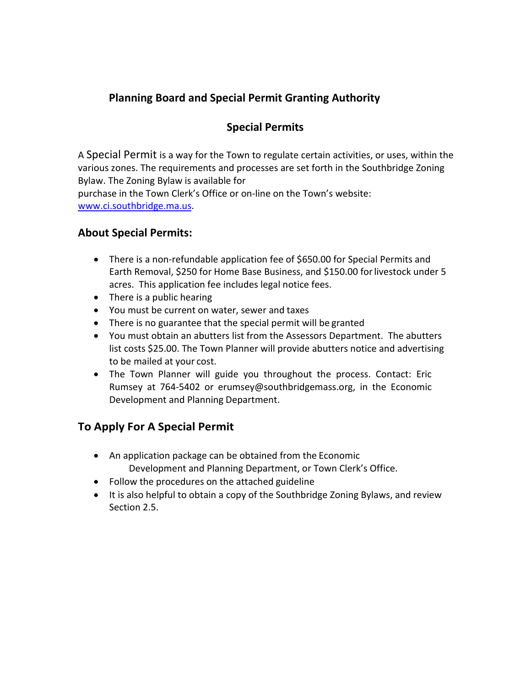# **Planning Board and Special Permit Granting Authority**

## **Special Permits**

A Special Permit is a way for the Town to regulate certain activities, or uses, within the various zones. The requirements and processes are set forth in the Southbridge Zoning Bylaw. The Zoning Bylaw is available for purchase in the Town Clerk's Office or on-line on the Town's website:

[www.ci.southbridge.ma.us.](http://www.ci.southbridge.ma.us/)

#### **About Special Permits:**

- There is a non-refundable application fee of \$650.00 for Special Permits and Earth Removal, \$250 for Home Base Business, and \$150.00 forlivestock under 5 acres. This application fee includes legal notice fees.
- There is a public hearing
- You must be current on water, sewer and taxes
- There is no guarantee that the special permit will be granted
- You must obtain an abutters list from the Assessors Department. The abutters list costs \$25.00. The Town Planner will provide abutters notice and advertising to be mailed at your cost.
- The Town Planner will guide you throughout the process. Contact: Eric Rumsey at 76[4-5402 or erumsey@southbridgemass.org, i](mailto:erumsey@southbridgemass.org)n the Economic Development and Planning Department.

#### **To Apply For A Special Permit**

- An application package can be obtained from the Economic Development and Planning Department, or Town Clerk's Office.
- Follow the procedures on the attached guideline
- It is also helpful to obtain a copy of the Southbridge Zoning Bylaws, and review Section 2.5.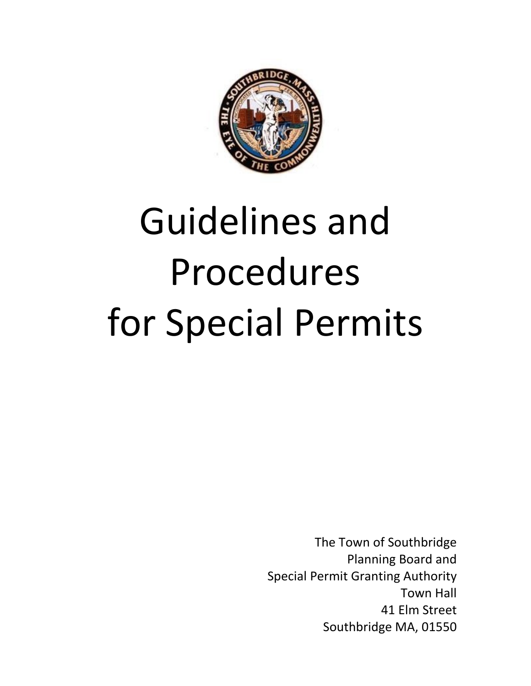

# Guidelines and Procedures for Special Permits

The Town of Southbridge Planning Board and Special Permit Granting Authority Town Hall 41 Elm Street Southbridge MA, 01550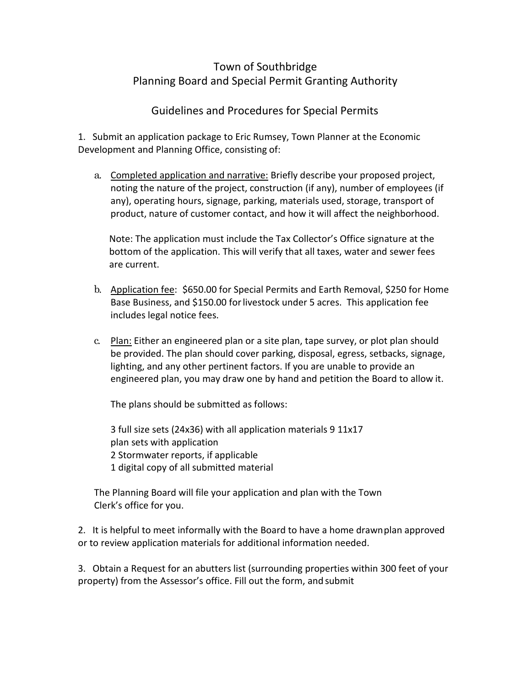### Town of Southbridge Planning Board and Special Permit Granting Authority

#### Guidelines and Procedures for Special Permits

1. Submit an application package to Eric Rumsey, Town Planner at the Economic Development and Planning Office, consisting of:

a. Completed application and narrative: Briefly describe your proposed project, noting the nature of the project, construction (if any), number of employees (if any), operating hours, signage, parking, materials used, storage, transport of product, nature of customer contact, and how it will affect the neighborhood.

Note: The application must include the Tax Collector's Office signature at the bottom of the application. This will verify that all taxes, water and sewer fees are current.

- b. Application fee: \$650.00 for Special Permits and Earth Removal, \$250 for Home Base Business, and \$150.00 forlivestock under 5 acres. This application fee includes legal notice fees.
- c. Plan: Either an engineered plan or a site plan, tape survey, or plot plan should be provided. The plan should cover parking, disposal, egress, setbacks, signage, lighting, and any other pertinent factors. If you are unable to provide an engineered plan, you may draw one by hand and petition the Board to allow it.

The plans should be submitted as follows:

3 full size sets (24x36) with all application materials 9 11x17 plan sets with application 2 Stormwater reports, if applicable 1 digital copy of all submitted material

The Planning Board will file your application and plan with the Town Clerk's office for you.

2. It is helpful to meet informally with the Board to have a home drawnplan approved or to review application materials for additional information needed.

3. Obtain a Request for an abutters list (surrounding properties within 300 feet of your property) from the Assessor's office. Fill out the form, and submit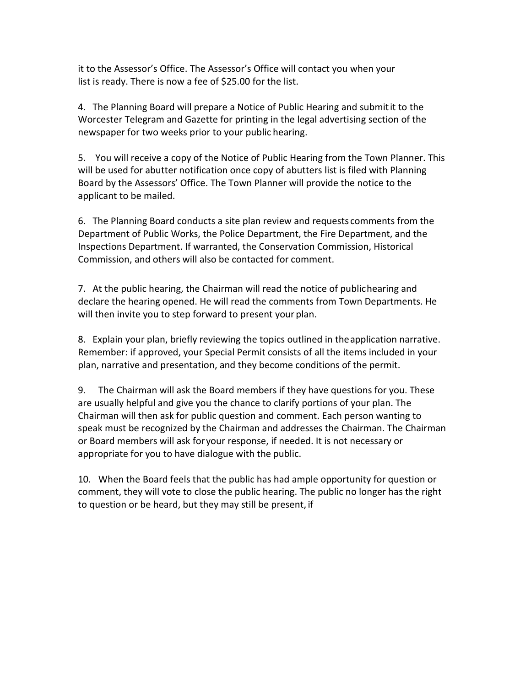it to the Assessor's Office. The Assessor's Office will contact you when your list is ready. There is now a fee of \$25.00 for the list.

4. The Planning Board will prepare a Notice of Public Hearing and submitit to the Worcester Telegram and Gazette for printing in the legal advertising section of the newspaper for two weeks prior to your public hearing.

5. You will receive a copy of the Notice of Public Hearing from the Town Planner. This will be used for abutter notification once copy of abutters list is filed with Planning Board by the Assessors' Office. The Town Planner will provide the notice to the applicant to be mailed.

6. The Planning Board conducts a site plan review and requests comments from the Department of Public Works, the Police Department, the Fire Department, and the Inspections Department. If warranted, the Conservation Commission, Historical Commission, and others will also be contacted for comment.

7. At the public hearing, the Chairman will read the notice of publichearing and declare the hearing opened. He will read the comments from Town Departments. He will then invite you to step forward to present your plan.

8. Explain your plan, briefly reviewing the topics outlined in theapplication narrative. Remember: if approved, your Special Permit consists of all the items included in your plan, narrative and presentation, and they become conditions of the permit.

9. The Chairman will ask the Board members if they have questions for you. These are usually helpful and give you the chance to clarify portions of your plan. The Chairman will then ask for public question and comment. Each person wanting to speak must be recognized by the Chairman and addresses the Chairman. The Chairman or Board members will ask foryour response, if needed. It is not necessary or appropriate for you to have dialogue with the public.

10. When the Board feels that the public has had ample opportunity for question or comment, they will vote to close the public hearing. The public no longer has the right to question or be heard, but they may still be present, if